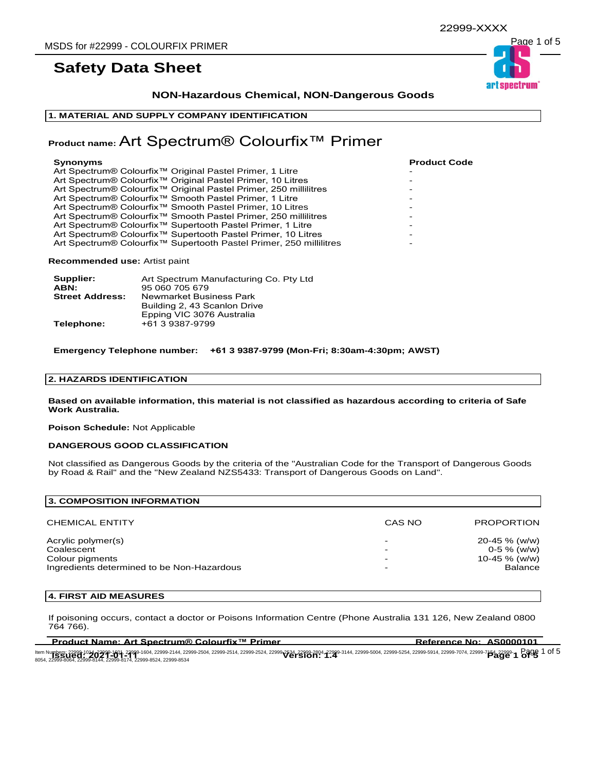### **NON-Hazardous Chemical, NON-Dangerous Goods**

#### **1. MATERIAL AND SUPPLY COMPANY IDENTIFICATION**

### **Product name:** Art Spectrum® Colourfix™ Primer

| <b>Synonyms</b>                                                                | <b>Product Code</b> |
|--------------------------------------------------------------------------------|---------------------|
| Art Spectrum® Colourfix <sup>™</sup> Original Pastel Primer, 1 Litre           |                     |
| Art Spectrum® Colourfix <sup>™</sup> Original Pastel Primer, 10 Litres         |                     |
| Art Spectrum® Colourfix <sup>™</sup> Original Pastel Primer, 250 millilitres   |                     |
| Art Spectrum® Colourfix <sup>™</sup> Smooth Pastel Primer, 1 Litre             |                     |
| Art Spectrum® Colourfix <sup>™</sup> Smooth Pastel Primer, 10 Litres           |                     |
| Art Spectrum® Colourfix <sup>™</sup> Smooth Pastel Primer, 250 millilitres     |                     |
| Art Spectrum® Colourfix <sup>™</sup> Supertooth Pastel Primer, 1 Litre         |                     |
| Art Spectrum® Colourfix <sup>™</sup> Supertooth Pastel Primer, 10 Litres       |                     |
| Art Spectrum® Colourfix <sup>™</sup> Supertooth Pastel Primer, 250 millilitres |                     |
|                                                                                |                     |

**Recommended use:** Artist paint

| Supplier:              | Art Spectrum Manufacturing Co. Pty Ltd                                               |
|------------------------|--------------------------------------------------------------------------------------|
| ABN:                   | 95 060 705 679                                                                       |
| <b>Street Address:</b> | Newmarket Business Park<br>Building 2, 43 Scanlon Drive<br>Epping VIC 3076 Australia |
| Telephone:             | +61 3 9387-9799                                                                      |

**Emergency Telephone number: +61 3 9387-9799 (Mon-Fri; 8:30am-4:30pm; AWST)**

#### **2. HAZARDS IDENTIFICATION**

**Based on available information, this material is not classified as hazardous according to criteria of Safe Work Australia.**

**Poison Schedule:** Not Applicable

#### **DANGEROUS GOOD CLASSIFICATION**

Not classified as Dangerous Goods by the criteria of the "Australian Code for the Transport of Dangerous Goods by Road & Rail" and the "New Zealand NZS5433: Transport of Dangerous Goods on Land".

| 3. COMPOSITION INFORMATION                                                                        |        |                                                              |
|---------------------------------------------------------------------------------------------------|--------|--------------------------------------------------------------|
| <b>CHEMICAL ENTITY</b>                                                                            | CAS NO | <b>PROPORTION</b>                                            |
| Acrylic polymer(s)<br>Coalescent<br>Colour pigments<br>Ingredients determined to be Non-Hazardous | -<br>- | 20-45 % (w/w)<br>$0-5\%$ (w/w)<br>10-45 $% (w/w)$<br>Balance |

#### **4. FIRST AID MEASURES**

If poisoning occurs, contact a doctor or Poisons Information Centre (Phone Australia 131 126, New Zealand 0800 764 766).

**Product Name: Art Spectrum® Colourfix™ Primer Reference No: AS0000101** 

ltem Numbers: 22999-1014, 23999-1601, 22999-1604, 22999-214, 22999-2504, 22999-2524, 22999-2534, 22999-304, 22999-304, 22999-5004, 22999-5254, 22999-5914, 22999-7074, 22999-7074, 22999-<br>ROSA 22999-00-00-00-00-00-00-00-00-0 ltem Numbers; 22999-1014, 22999-1604, 22999-2104, 22999-2504, 22999-2514, 22999-2524, 22999-2534, 22999-304, 22999-5004, 22999-5004, 22999-5254, 22999-5914, 22999-7074, 22999-7074, 22999-**754, 22999-61**<br>8054, 22999-8064, 2

art spectrum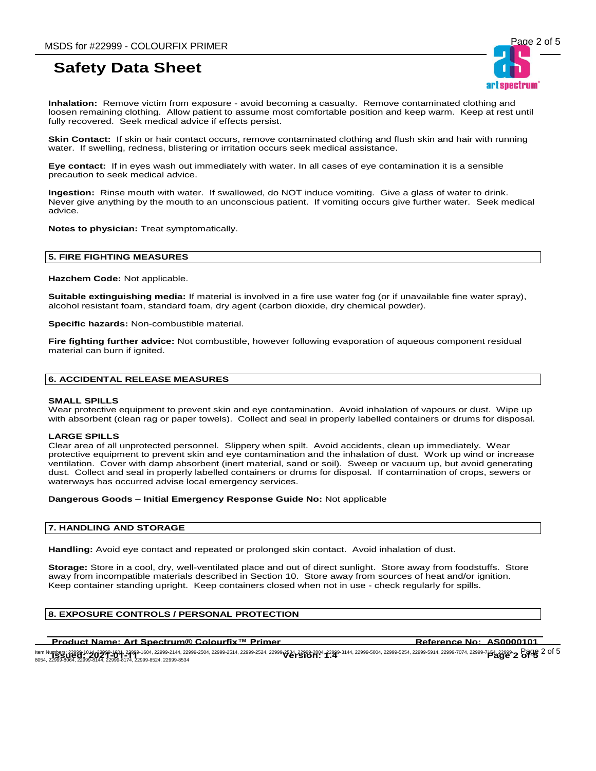art spectrum

**Inhalation:** Remove victim from exposure - avoid becoming a casualty. Remove contaminated clothing and loosen remaining clothing. Allow patient to assume most comfortable position and keep warm. Keep at rest until fully recovered. Seek medical advice if effects persist.

**Skin Contact:** If skin or hair contact occurs, remove contaminated clothing and flush skin and hair with running water. If swelling, redness, blistering or irritation occurs seek medical assistance.

**Eye contact:** If in eyes wash out immediately with water. In all cases of eye contamination it is a sensible precaution to seek medical advice.

**Ingestion:** Rinse mouth with water. If swallowed, do NOT induce vomiting. Give a glass of water to drink. Never give anything by the mouth to an unconscious patient. If vomiting occurs give further water. Seek medical advice.

**Notes to physician:** Treat symptomatically.

#### **5. FIRE FIGHTING MEASURES**

**Hazchem Code:** Not applicable.

**Suitable extinguishing media:** If material is involved in a fire use water fog (or if unavailable fine water spray), alcohol resistant foam, standard foam, dry agent (carbon dioxide, dry chemical powder).

**Specific hazards:** Non-combustible material.

**Fire fighting further advice:** Not combustible, however following evaporation of aqueous component residual material can burn if ignited.

#### **6. ACCIDENTAL RELEASE MEASURES**

#### **SMALL SPILLS**

Wear protective equipment to prevent skin and eye contamination. Avoid inhalation of vapours or dust. Wipe up with absorbent (clean rag or paper towels). Collect and seal in properly labelled containers or drums for disposal.

#### **LARGE SPILLS**

Clear area of all unprotected personnel. Slippery when spilt. Avoid accidents, clean up immediately. Wear protective equipment to prevent skin and eye contamination and the inhalation of dust. Work up wind or increase ventilation. Cover with damp absorbent (inert material, sand or soil). Sweep or vacuum up, but avoid generating dust. Collect and seal in properly labelled containers or drums for disposal. If contamination of crops, sewers or waterways has occurred advise local emergency services.

#### **Dangerous Goods – Initial Emergency Response Guide No:** Not applicable

#### **7. HANDLING AND STORAGE**

**Handling:** Avoid eye contact and repeated or prolonged skin contact. Avoid inhalation of dust.

**Storage:** Store in a cool, dry, well-ventilated place and out of direct sunlight. Store away from foodstuffs. Store away from incompatible materials described in Section 10. Store away from sources of heat and/or ignition. Keep container standing upright. Keep containers closed when not in use - check regularly for spills.

#### **8. EXPOSURE CONTROLS / PERSONAL PROTECTION**

#### **Product Name: Art Spectrum® Colourfix™ Primer <b>Reference No: AS0000101**

ltem Numbers: 22999-1014, 22999-1601, 22999-1604, 22999-214, 22999-2504, 22999-2524, 22999-2534, 22999-304, 22999-304, 22999-5004, 22999-5254, 22999-5914, 22999-7074, 22999-7074, 22999-<br>ROSA 22999-00-00-00-00-00-00-00-00-0 ltem Numbers; 22999-1014, 22999-1604, 22999-2104, 22999-2504, 22999-2514, 22999-2524, 22999-2534, 22999-304, 22999-5004, 22999-5004, 22999-5254, 22999-5914, 22999-7074, 22999-7074, 22999-**754, 22999-82** Page 2 of 5<br>8054, 2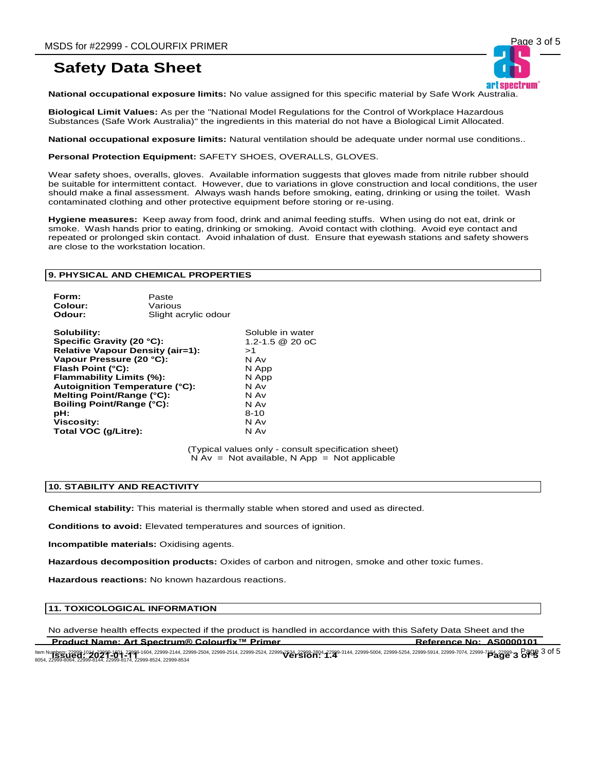

**National occupational exposure limits:** No value assigned for this specific material by Safe Work Australia.

**Biological Limit Values:** As per the "National Model Regulations for the Control of Workplace Hazardous Substances (Safe Work Australia)" the ingredients in this material do not have a Biological Limit Allocated.

**National occupational exposure limits:** Natural ventilation should be adequate under normal use conditions..

**Personal Protection Equipment:** SAFETY SHOES, OVERALLS, GLOVES.

Wear safety shoes, overalls, gloves. Available information suggests that gloves made from nitrile rubber should be suitable for intermittent contact. However, due to variations in glove construction and local conditions, the user should make a final assessment. Always wash hands before smoking, eating, drinking or using the toilet. Wash contaminated clothing and other protective equipment before storing or re-using.

**Hygiene measures:** Keep away from food, drink and animal feeding stuffs. When using do not eat, drink or smoke. Wash hands prior to eating, drinking or smoking. Avoid contact with clothing. Avoid eye contact and repeated or prolonged skin contact. Avoid inhalation of dust. Ensure that eyewash stations and safety showers are close to the workstation location.

#### **9. PHYSICAL AND CHEMICAL PROPERTIES**

| Form:   | Paste                |
|---------|----------------------|
| Colour: | Various              |
| Odour:  | Slight acrylic odour |

**Solubility:** Soluble in water **Specific Gravity (20 °C):** 1.2-1.5 @ 20 oC **Relative Vapour Density (air=1):** >1 **Vapour Pressure (20 °C): Flash Point (°C):** N App **Flammability Limits (%): <br><b>Autoignition Temperature (°C):** N Av **Autoignition Temperature (°C):** N Av **Melting Point/Range (°C):** N Av **Boiling Point/Range (°C):** N Av **Boiling Point/Range (°C): N** Av<br>**pH:** 8-10 **pH:** 8-10 **Viscosity:** N Av **Total VOC (g/Litre):** N Av

(Typical values only - consult specification sheet)  $N Av = Not available, N App = Not applicable$ 

#### **10. STABILITY AND REACTIVITY**

**Chemical stability:** This material is thermally stable when stored and used as directed.

**Conditions to avoid:** Elevated temperatures and sources of ignition.

**Incompatible materials:** Oxidising agents.

**Hazardous decomposition products:** Oxides of carbon and nitrogen, smoke and other toxic fumes.

**Hazardous reactions:** No known hazardous reactions.

#### **11. TOXICOLOGICAL INFORMATION**

**Product Name: Art Spectrum® Colourfix™ Primer Reference No: AS0000101** No adverse health effects expected if the product is handled in accordance with this Safety Data Sheet and the

ltem Numbers: 22999-1014 22999-1601, 22999-1604, 22999-2144, 22999-2504, 22999-2524, 22999-2534, 22999-304, 22999-304, 22999-5004, 22999-5254, 22999-5254, 22999-5914, 22999-7074, 22999-<br>ROSA 22999-00-00-00-00-00-00-00-00-0 ltem Numbers; 22999-1014, 22999-1604, 22999-2104, 22999-2504, 22999-2514, 22999-2524, 22999-2594, 22999-304, 22999-5004, 22999-5004, 22999-5254, 22999-5914, 22999-7074, 22999-7074, 22999-**64**<br>8054, 22999-8064, 22999-8144,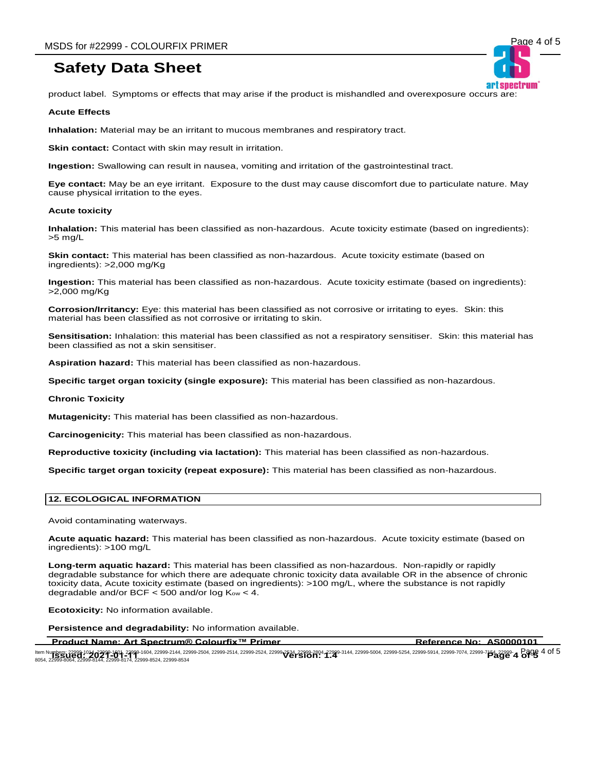product label. Symptoms or effects that may arise if the product is mishandled and overexposure occurs are:

#### **Acute Effects**

**Inhalation:** Material may be an irritant to mucous membranes and respiratory tract.

**Skin contact:** Contact with skin may result in irritation.

**Ingestion:** Swallowing can result in nausea, vomiting and irritation of the gastrointestinal tract.

**Eye contact:** May be an eye irritant. Exposure to the dust may cause discomfort due to particulate nature. May cause physical irritation to the eyes.

#### **Acute toxicity**

**Inhalation:** This material has been classified as non-hazardous. Acute toxicity estimate (based on ingredients): >5 mg/L

**Skin contact:** This material has been classified as non-hazardous. Acute toxicity estimate (based on ingredients): >2,000 mg/Kg

**Ingestion:** This material has been classified as non-hazardous. Acute toxicity estimate (based on ingredients): >2,000 mg/Kg

**Corrosion/Irritancy:** Eye: this material has been classified as not corrosive or irritating to eyes. Skin: this material has been classified as not corrosive or irritating to skin.

**Sensitisation:** Inhalation: this material has been classified as not a respiratory sensitiser. Skin: this material has been classified as not a skin sensitiser.

**Aspiration hazard:** This material has been classified as non-hazardous.

**Specific target organ toxicity (single exposure):** This material has been classified as non-hazardous.

#### **Chronic Toxicity**

**Mutagenicity:** This material has been classified as non-hazardous.

**Carcinogenicity:** This material has been classified as non-hazardous.

**Reproductive toxicity (including via lactation):** This material has been classified as non-hazardous.

**Specific target organ toxicity (repeat exposure):** This material has been classified as non-hazardous.

#### **12. ECOLOGICAL INFORMATION**

Avoid contaminating waterways.

**Acute aquatic hazard:** This material has been classified as non-hazardous. Acute toxicity estimate (based on ingredients): >100 mg/L

**Long-term aquatic hazard:** This material has been classified as non-hazardous. Non-rapidly or rapidly degradable substance for which there are adequate chronic toxicity data available OR in the absence of chronic toxicity data, Acute toxicity estimate (based on ingredients): >100 mg/L, where the substance is not rapidly degradable and/or BCF  $<$  500 and/or log  $K_{ow}$   $<$  4.

**Ecotoxicity:** No information available.

**Persistence and degradability:** No information available.

**Product Name: Art Spectrum® Colourfix™ Primer <b>Reference No: AS0000101** 

ltem Numbers: 22999-1014 22999-1601, 22999-1604, 22999-2144, 22999-2504, 22999-2524, 22999-2534, 22999-304, 22999-304, 22999-5004, 22999-5254, 22999-5914, 22999-7074, 22999-7074, 22999-<br>ROSA 22999-00-00-00-00-00-00-00-00-0 ltem Numbers; 22999-1014, 23999-1604, 22999-2104, 22999-2504, 22999-2514, 22999-2524, 22999-2534, 22999-304, 22999-5004, 22999-5004, 22999-5254, 22999-5914, 22999-7074, 22999-7074, 22999-**64, Page 4 of 5**<br>8054, 22999-8064,

art snectrum